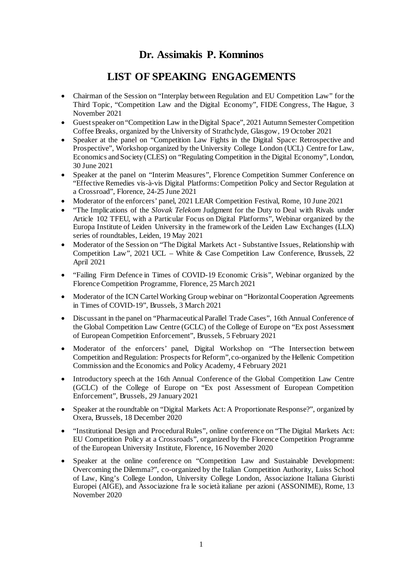## **Dr. Assimakis P. Komninos**

## **LIST OF SPEAKING ENGAGEMENTS**

- Chairman of the Session on "Interplay between Regulation and EU Competition Law" for the Third Topic, "Competition Law and the Digital Economy", FIDE Congress, The Hague, 3 November 2021
- Guest speaker on "Competition Law in the Digital Space", 2021 Autumn Semester Competition Coffee Breaks, organized by the University of Strathclyde, Glasgow, 19 October 2021
- Speaker at the panel on "Competition Law Fights in the Digital Space: Retrospective and Prospective", Workshop organized by the University College London (UCL) Centre for Law, Economics and Society (CLES) on "Regulating Competition in the Digital Economy", London, 30 June 2021
- Speaker at the panel on "Interim Measures", Florence Competition Summer Conference on "Effective Remedies vis-à-vis Digital Platforms: Competition Policy and Sector Regulation at a Crossroad", Florence, 24-25 June 2021
- Moderator of the enforcers' panel, 2021 LEAR Competition Festival, Rome, 10 June 2021
- "The Implications of the *Slovak Telekom* Judgment for the Duty to Deal with Rivals under Article 102 TFEU, with a Particular Focus on Digital Platforms", Webinar organized by the Europa Institute of Leiden University in the framework of the Leiden Law Exchanges (LLX) series of roundtables, Leiden, 19 May 2021
- Moderator of the Session on "The Digital Markets Act Substantive Issues, Relationship with Competition Law", 2021 UCL – White & Case Competition Law Conference, Brussels, 22 April 2021
- "Failing Firm Defence in Times of COVID-19 Economic Crisis", Webinar organized by the Florence Competition Programme, Florence, 25 March 2021
- Moderator of the ICN Cartel Working Group webinar on "Horizontal Cooperation Agreements" in Times of COVID-19", Brussels, 3 March 2021
- Discussant in the panel on "Pharmaceutical Parallel Trade Cases", 16th Annual Conference of the Global Competition Law Centre (GCLC) of the College of Europe on "Ex post Assessment of European Competition Enforcement", Brussels, 5 February 2021
- Moderator of the enforcers' panel, Digital Workshop on "The Intersection between Competition and Regulation: Prospects for Reform", co-organized by the Hellenic Competition Commission and the Economics and Policy Academy, 4 February 2021
- Introductory speech at the 16th Annual Conference of the Global Competition Law Centre (GCLC) of the College of Europe on "Ex post Assessment of European Competition Enforcement", Brussels, 29 January 2021
- Speaker at the roundtable on "Digital Markets Act: A Proportionate Response?", organized by Oxera, Brussels, 18 December 2020
- "Institutional Design and Procedural Rules", online conference on "The Digital Markets Act: EU Competition Policy at a Crossroads", organized by the Florence Competition Programme of the European University Institute, Florence, 16 November 2020
- Speaker at the online conference on "Competition Law and Sustainable Development: Overcoming the Dilemma?", co-organized by the Italian Competition Authority, Luiss School of Law, King's College London, University College London, Associazione Italiana Giuristi Europei (AIGE), and Associazione fra le società italiane per azioni (ASSONIME), Rome, 13 November 2020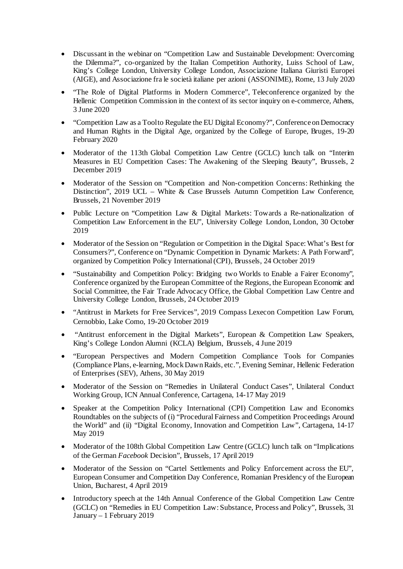- Discussant in the webinar on "Competition Law and Sustainable Development: Overcoming the Dilemma?", co-organized by the Italian Competition Authority, Luiss School of Law, King's College London, University College London, Associazione Italiana Giuristi Europei (AIGE), and Associazione fra le società italiane per azioni (ASSONIME), Rome, 13 July 2020
- "The Role of Digital Platforms in Modern Commerce", Teleconference organized by the Hellenic Competition Commission in the context of its sector inquiry on e-commerce, Athens, 3 June 2020
- "Competition Law as a Tool to Regulate the EU Digital Economy?", Conference on Democracy and Human Rights in the Digital Age, organized by the College of Europe, Bruges, 19-20 February 2020
- Moderator of the 113th Global Competition Law Centre (GCLC) lunch talk on "Interim Measures in EU Competition Cases: The Awakening of the Sleeping Beauty", Brussels, 2 December 2019
- Moderator of the Session on "Competition and Non-competition Concerns: Rethinking the Distinction", 2019 UCL – White & Case Brussels Autumn Competition Law Conference, Brussels, 21 November 2019
- Public Lecture on "Competition Law & Digital Markets: Towards a Re-nationalization of Competition Law Enforcement in the EU", University College London, London, 30 October 2019
- Moderator of the Session on "Regulation or Competition in the Digital Space: What's Best for Consumers?", Conference on "Dynamic Competition in Dynamic Markets: A Path Forward", organized by Competition Policy International (CPI), Brussels, 24 October 2019
- "Sustainability and Competition Policy: Bridging two Worlds to Enable a Fairer Economy", Conference organized by the European Committee of the Regions, the European Economic and Social Committee, the Fair Trade Advocacy Office, the Global Competition Law Centre and University College London, Brussels, 24 October 2019
- "Antitrust in Markets for Free Services", 2019 Compass Lexecon Competition Law Forum, Cernobbio, Lake Como, 19-20 October 2019
- "Antitrust enforcement in the Digital Markets", European & Competition Law Speakers, King's College London Alumni (KCLA) Belgium, Brussels, 4 June 2019
- "European Perspectives and Modern Competition Compliance Tools for Companies (Compliance Plans, e-learning, Mock Dawn Raids, etc.", Evening Seminar, Hellenic Federation of Enterprises (SEV), Athens, 30 May 2019
- Moderator of the Session on "Remedies in Unilateral Conduct Cases", Unilateral Conduct Working Group, ICN Annual Conference, Cartagena, 14-17 May 2019
- Speaker at the Competition Policy International (CPI) Competition Law and Economics Roundtables on the subjects of (i) "Procedural Fairness and Competition Proceedings Around the World" and (ii) "Digital Economy, Innovation and Competition Law", Cartagena, 14-17 May 2019
- Moderator of the 108th Global Competition Law Centre (GCLC) lunch talk on "Implications of the German *Facebook* Decision", Brussels, 17 April 2019
- Moderator of the Session on "Cartel Settlements and Policy Enforcement across the EU", European Consumer and Competition Day Conference, Romanian Presidency of the European Union, Bucharest, 4 April 2019
- Introductory speech at the 14th Annual Conference of the Global Competition Law Centre (GCLC) on "Remedies in EU Competition Law: Substance, Process and Policy", Brussels, 31 January – 1 February 2019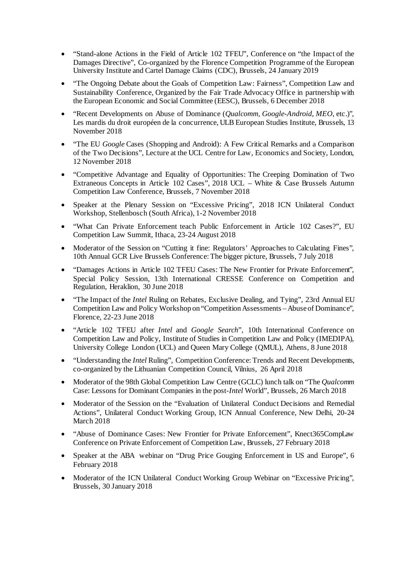- "Stand-alone Actions in the Field of Article 102 TFEU", Conference on "the Impact of the Damages Directive", Co-organized by the Florence Competition Programme of the European University Institute and Cartel Damage Claims (CDC), Brussels, 24 January 2019
- "The Ongoing Debate about the Goals of Competition Law: Fairness", Competition Law and Sustainability Conference, Organized by the Fair Trade Advocacy Office in partnership with the European Economic and Social Committee (EESC), Brussels, 6 December 2018
- "Recent Developments on Abuse of Dominance (*Qualcomm*, *Google-Android*, *MEO*, etc.)", Les mardis du droit européen de la concurrence, ULB European Studies Institute, Brussels, 13 November 2018
- "The EU *Google* Cases (Shopping and Android): A Few Critical Remarks and a Comparison of the Two Decisions", Lecture at the UCL Centre for Law, Economics and Society, London, 12 November 2018
- "Competitive Advantage and Equality of Opportunities: The Creeping Domination of Two Extraneous Concepts in Article 102 Cases", 2018 UCL – White & Case Brussels Autumn Competition Law Conference, Brussels, 7 November 2018
- Speaker at the Plenary Session on "Excessive Pricing", 2018 ICN Unilateral Conduct Workshop, Stellenbosch (South Africa), 1-2 November 2018
- "What Can Private Enforcement teach Public Enforcement in Article 102 Cases?", EU Competition Law Summit, Ithaca, 23-24 August 2018
- Moderator of the Session on "Cutting it fine: Regulators' Approaches to Calculating Fines", 10th Annual GCR Live Brussels Conference: The bigger picture, Brussels, 7 July 2018
- "Damages Actions in Article 102 TFEU Cases: The New Frontier for Private Enforcement", Special Policy Session, 13th International CRESSE Conference on Competition and Regulation, Heraklion, 30 June 2018
- "The Impact of the *Intel* Ruling on Rebates, Exclusive Dealing, and Tying", 23rd Annual EU Competition Law and Policy Workshop on "Competition Assessments –Abuse of Dominance", Florence, 22-23 June 2018
- "Article 102 TFEU after *Intel* and *Google Search*", 10th International Conference on Competition Law and Policy, Institute of Studies in Competition Law and Policy (IMEDIPA), University College London (UCL) and Queen Mary College (QMUL), Athens, 8 June 2018
- "Understanding the *Intel* Ruling", Competition Conference: Trends and Recent Developments, co-organized by the Lithuanian Competition Council, Vilnius, 26 April 2018
- Moderator of the 98th Global Competition Law Centre (GCLC) lunch talk on "The *Qualcomm* Case: Lessons for Dominant Companies in the post-*Intel* World", Brussels, 26 March 2018
- Moderator of the Session on the "Evaluation of Unilateral Conduct Decisions and Remedial Actions", Unilateral Conduct Working Group, ICN Annual Conference, New Delhi, 20-24 March 2018
- "Abuse of Dominance Cases: New Frontier for Private Enforcement", Knect365CompLaw Conference on Private Enforcement of Competition Law, Brussels, 27 February 2018
- Speaker at the ABA webinar on "Drug Price Gouging Enforcement in US and Europe", 6 February 2018
- Moderator of the ICN Unilateral Conduct Working Group Webinar on "Excessive Pricing", Brussels, 30 January 2018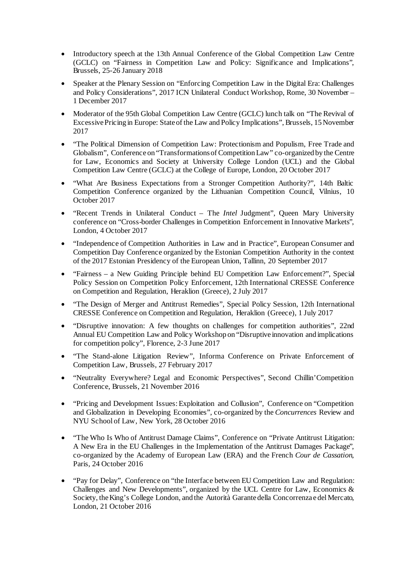- Introductory speech at the 13th Annual Conference of the Global Competition Law Centre (GCLC) on "Fairness in Competition Law and Policy: Significance and Implications", Brussels, 25-26 January 2018
- Speaker at the Plenary Session on "Enforcing Competition Law in the Digital Era: Challenges and Policy Considerations", 2017 ICN Unilateral Conduct Workshop, Rome, 30 November – 1 December 2017
- Moderator of the 95th Global Competition Law Centre (GCLC) lunch talk on "The Revival of Excessive Pricing in Europe: State of the Law and Policy Implications", Brussels, 15 November 2017
- "The Political Dimension of Competition Law: Protectionism and Populism, Free Trade and Globalism", Conference on "Transformations of Competition Law" co-organized by the Centre for Law, Economics and Society at University College London (UCL) and the Global Competition Law Centre (GCLC) at the College of Europe, London, 20 October 2017
- "What Are Business Expectations from a Stronger Competition Authority?", 14th Baltic Competition Conference organized by the Lithuanian Competition Council, Vilnius, 10 October 2017
- "Recent Trends in Unilateral Conduct The *Intel* Judgment", Queen Mary University conference on "Cross-border Challenges in Competition Enforcement in Innovative Markets", London, 4 October 2017
- "Independence of Competition Authorities in Law and in Practice", European Consumer and Competition Day Conference organized by the Estonian Competition Authority in the context of the 2017 Estonian Presidency of the European Union, Tallinn, 20 September 2017
- "Fairness a New Guiding Principle behind EU Competition Law Enforcement?", Special Policy Session on Competition Policy Enforcement, 12th International CRESSE Conference on Competition and Regulation, Heraklion (Greece), 2 July 2017
- "The Design of Merger and Antitrust Remedies", Special Policy Session, 12th International CRESSE Conference on Competition and Regulation, Heraklion (Greece), 1 July 2017
- "Disruptive innovation: A few thoughts on challenges for competition authorities", 22nd Annual EU Competition Law and Policy Workshop on "Disruptive innovation and implications for competition policy", Florence, 2-3 June 2017
- "The Stand-alone Litigation Review", Informa Conference on Private Enforcement of Competition Law, Brussels, 27 February 2017
- "Neutrality Everywhere? Legal and Economic Perspectives", Second Chillin'Competition Conference, Brussels, 21 November 2016
- "Pricing and Development Issues: Exploitation and Collusion", Conference on "Competition and Globalization in Developing Economies", co-organized by the *Concurrences* Review and NYU School of Law, New York, 28 October 2016
- "The Who Is Who of Antitrust Damage Claims", Conference on "Private Antitrust Litigation: A New Era in the EU Challenges in the Implementation of the Antitrust Damages Package", co-organized by the Academy of European Law (ERA) and the French *Cour de Cassation*, Paris, 24 October 2016
- "Pay for Delay", Conference on "the Interface between EU Competition Law and Regulation: Challenges and New Developments", organized by the UCL Centre for Law, Economics & Society, the King's College London, and the Autorità Garante della Concorrenza e del Mercato, London, 21 October 2016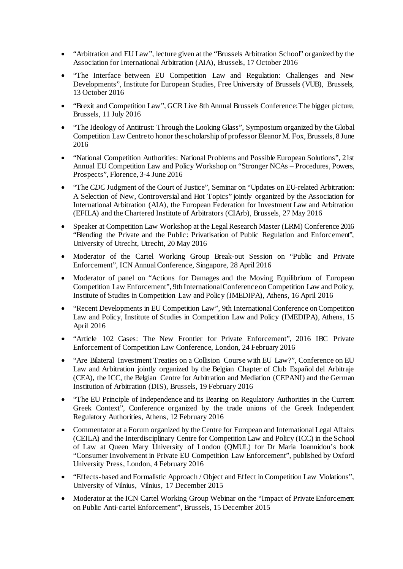- "Arbitration and EU Law", lecture given at the "Brussels Arbitration School" organized by the Association for International Arbitration (AIA), Brussels, 17 October 2016
- "The Interface between EU Competition Law and Regulation: Challenges and New Developments", Institute for European Studies, Free University of Brussels (VUB), Brussels, 13 October 2016
- "Brexit and Competition Law", GCR Live 8th Annual Brussels Conference: The bigger picture, Brussels, 11 July 2016
- "The Ideology of Antitrust: Through the Looking Glass", Symposium organized by the Global Competition Law Centre to honor the scholarship of professor Eleanor M. Fox, Brussels, 8 June 2016
- "National Competition Authorities: National Problems and Possible European Solutions", 21st Annual EU Competition Law and Policy Workshop on "Stronger NCAs – Procedures, Powers, Prospects", Florence, 3-4 June 2016
- "The *CDC* Judgment of the Court of Justice", Seminar on "Updates on EU-related Arbitration: A Selection of New, Controversial and Hot Topics" jointly organized by the Association for International Arbitration (AIA), the European Federation for Investment Law and Arbitration (EFILA) and the Chartered Institute of Arbitrators (CIArb), Brussels, 27 May 2016
- Speaker at Competition Law Workshop at the Legal Research Master (LRM) Conference 2016 "Blending the Private and the Public: Privatisation of Public Regulation and Enforcement", University of Utrecht, Utrecht, 20 May 2016
- Moderator of the Cartel Working Group Break-out Session on "Public and Private Enforcement", ICN Annual Conference, Singapore, 28 April 2016
- Moderator of panel on "Actions for Damages and the Moving Equilibrium of European Competition Law Enforcement", 9th International Conference on Competition Law and Policy, Institute of Studies in Competition Law and Policy (IMEDIPA), Athens, 16 April 2016
- "Recent Developments in EU Competition Law", 9th International Conference on Competition Law and Policy, Institute of Studies in Competition Law and Policy (IMEDIPA), Athens, 15 April 2016
- "Article 102 Cases: The New Frontier for Private Enforcement", 2016 IBC Private Enforcement of Competition Law Conference, London, 24 February 2016
- "Are Bilateral Investment Treaties on a Collision Course with EU Law?", Conference on EU Law and Arbitration jointly organized by the Belgian Chapter of Club Español del Arbitraje (CEA), the ICC, the Belgian Centre for Arbitration and Mediation (CEPANI) and the German Institution of Arbitration (DIS), Brussels, 19 February 2016
- "The EU Principle of Independence and its Bearing on Regulatory Authorities in the Current Greek Context", Conference organized by the trade unions of the Greek Independent Regulatory Authorities, Athens, 12 February 2016
- Commentator at a Forum organized by the Centre for European and International Legal Affairs (CEILA) and the Interdisciplinary Centre for Competition Law and Policy (ICC) in the School of Law at Queen Mary University of London (QMUL) for Dr Maria Ioannidou's book "Consumer Involvement in Private EU Competition Law Enforcement", published by Oxford University Press, London, 4 February 2016
- "Effects-based and Formalistic Approach / Object and Effect in Competition Law Violations", University of Vilnius, Vilnius, 17 December 2015
- Moderator at the ICN Cartel Working Group Webinar on the "Impact of Private Enforcement on Public Anti-cartel Enforcement", Brussels, 15 December 2015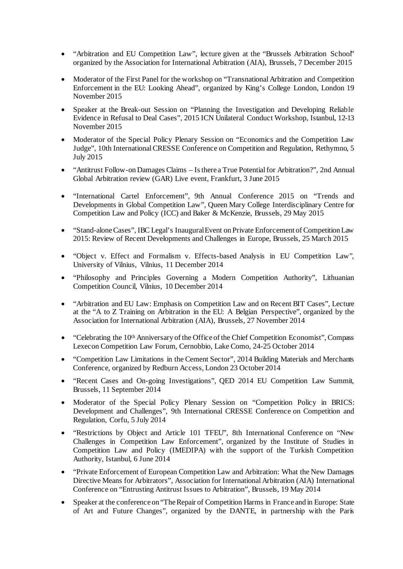- "Arbitration and EU Competition Law", lecture given at the "Brussels Arbitration School" organized by the Association for International Arbitration (AIA), Brussels, 7 December 2015
- Moderator of the First Panel for the workshop on "Transnational Arbitration and Competition" Enforcement in the EU: Looking Ahead", organized by King's College London, London 19 November 2015
- Speaker at the Break-out Session on "Planning the Investigation and Developing Reliable Evidence in Refusal to Deal Cases", 2015 ICN Unilateral Conduct Workshop, Istanbul, 12-13 November 2015
- Moderator of the Special Policy Plenary Session on "Economics and the Competition Law Judge", 10th International CRESSE Conference on Competition and Regulation, Rethymno, 5 July 2015
- "Antitrust Follow-on Damages Claims Is there a True Potential for Arbitration?", 2nd Annual Global Arbitration review (GAR) Live event, Frankfurt, 3 June 2015
- "International Cartel Enforcement", 9th Annual Conference 2015 on "Trends and Developments in Global Competition Law", Queen Mary College Interdisciplinary Centre for Competition Law and Policy (ICC) and Baker & McKenzie, Brussels, 29 May 2015
- "Stand-alone Cases", IBC Legal's Inaugural Event on Private Enforcement of Competition Law 2015: Review of Recent Developments and Challenges in Europe, Brussels, 25 March 2015
- "Object v. Effect and Formalism v. Effects-based Analysis in EU Competition Law", University of Vilnius, Vilnius, 11 December 2014
- "Philosophy and Principles Governing a Modern Competition Authority", Lithuanian Competition Council, Vilnius, 10 December 2014
- "Arbitration and EU Law: Emphasis on Competition Law and on Recent BIT Cases", Lecture at the "A to Z Training on Arbitration in the EU: A Belgian Perspective", organized by the Association for International Arbitration (AIA), Brussels, 27 November 2014
- "Celebrating the 10<sup>th</sup> Anniversary of the Office of the Chief Competition Economist", Compass Lexecon Competition Law Forum, Cernobbio, Lake Como, 24-25 October 2014
- "Competition Law Limitations in the Cement Sector", 2014 Building Materials and Merchants Conference, organized by Redburn Access, London 23 October 2014
- "Recent Cases and On-going Investigations", QED 2014 EU Competition Law Summit, Brussels, 11 September 2014
- Moderator of the Special Policy Plenary Session on "Competition Policy in BRICS: Development and Challenges", 9th International CRESSE Conference on Competition and Regulation, Corfu, 5 July 2014
- "Restrictions by Object and Article 101 TFEU", 8th International Conference on "New Challenges in Competition Law Enforcement", organized by the Institute of Studies in Competition Law and Policy (IMEDIPA) with the support of the Turkish Competition Authority, Istanbul, 6 June 2014
- "Private Enforcement of European Competition Law and Arbitration: What the New Damages Directive Means for Arbitrators", Association for International Arbitration (AIA) International Conference on "Entrusting Antitrust Issues to Arbitration", Brussels, 19 May 2014
- Speaker at the conference on "The Repair of Competition Harms in France and in Europe: State of Art and Future Changes", organized by the DANTE, in partnership with the Paris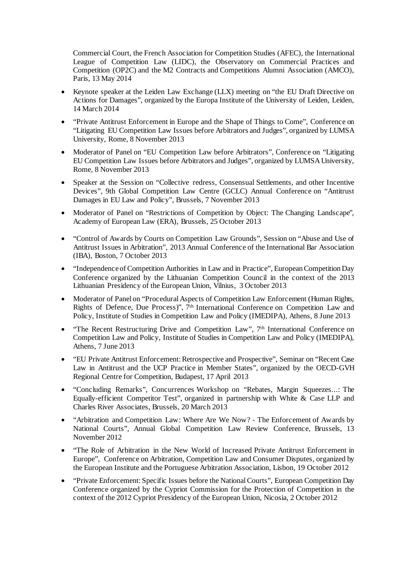Commercial Court, the French Association for Competition Studies (AFEC), the International League of Competition Law (LIDC), the Observatory on Commercial Practices and Competition (OP2C) and the M2 Contracts and Competitions Alumni Association (AMCO), Paris, 13 May 2014

- Keynote speaker at the Leiden Law Exchange (LLX) meeting on "the EU Draft Directive on Actions for Damages", organized by the Europa Institute of the University of Leiden, Leiden, 14 March 2014
- "Private Antitrust Enforcement in Europe and the Shape of Things to Come", Conference on "Litigating EU Competition Law Issues before Arbitrators and Judges", organized by LUMSA University, Rome, 8 November 2013
- Moderator of Panel on "EU Competition Law before Arbitrators", Conference on "Litigating" EU Competition Law Issues before Arbitrators and Judges", organized by LUMSA University, Rome, 8 November 2013
- Speaker at the Session on "Collective redress, Consensual Settlements, and other Incentive Devices", 9th Global Competition Law Centre (GCLC) Annual Conference on "Antitrust Damages in EU Law and Policy", Brussels, 7 November 2013
- Moderator of Panel on "Restrictions of Competition by Object: The Changing Landscape", Academy of European Law (ERA), Brussels, 25 October 2013
- "Control of Awards by Courts on Competition Law Grounds", Session on "Abuse and Use of Antitrust Issues in Arbitration", 2013 Annual Conference of the International Bar Association (IBA), Boston, 7 October 2013
- "Independence of Competition Authorities in Law and in Practice", European Competition Day Conference organized by the Lithuanian Competition Council in the context of the 2013 Lithuanian Presidency of the European Union, Vilnius, 3 October 2013
- Moderator of Panel on "Procedural Aspects of Competition Law Enforcement (Human Rights, Rights of Defence, Due Process)", 7th International Conference on Competition Law and Policy, Institute of Studies in Competition Law and Policy (IMEDIPA), Athens, 8 June 2013
- "The Recent Restructuring Drive and Competition Law", 7<sup>th</sup> International Conference on Competition Law and Policy, Institute of Studies in Competition Law and Policy (IMEDIPA), Athens, 7 June 2013
- "EU Private Antitrust Enforcement: Retrospective and Prospective", Seminar on "Recent Case Law in Antitrust and the UCP Practice in Member States", organized by the OECD-GVH Regional Centre for Competition, Budapest, 17 April 2013
- "Concluding Remarks", Concurrences Workshop on "Rebates, Margin Squeezes...: The Equally-efficient Competitor Test", organized in partnership with White & Case LLP and Charles River Associates, Brussels, 20 March 2013
- "Arbitration and Competition Law: Where Are We Now? The Enforcement of Awards by National Courts", Annual Global Competition Law Review Conference, Brussels, 13 November 2012
- "The Role of Arbitration in the New World of Increased Private Antitrust Enforcement in Europe", Conference on Arbitration, Competition Law and Consumer Disputes, organized by the European Institute and the Portuguese Arbitration Association, Lisbon, 19 October 2012
- "Private Enforcement: Specific Issues before the National Courts", European Competition Day Conference organized by the Cypriot Commission for the Protection of Competition in the context of the 2012 Cypriot Presidency of the European Union, Nicosia, 2 October 2012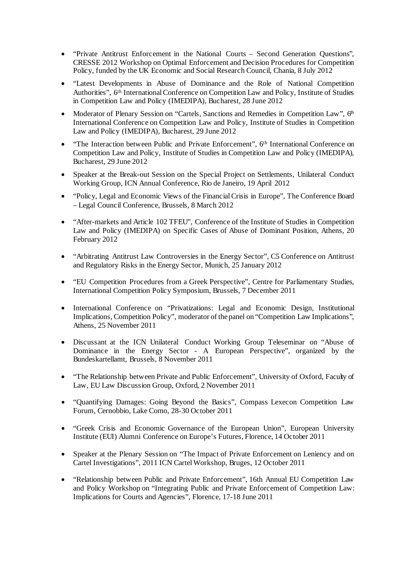- "Private Antitrust Enforcement in the National Courts Second Generation Questions", CRESSE 2012 Workshop on Optimal Enforcement and Decision Procedures for Competition Policy, funded by the UK Economic and Social Research Council, Chania, 8 July 2012
- "Latest Developments in Abuse of Dominance and the Role of National Competition Authorities", 6th International Conference on Competition Law and Policy, Institute of Studies in Competition Law and Policy (IMEDIPA), Bucharest, 28 June 2012
- Moderator of Plenary Session on "Cartels, Sanctions and Remedies in Competition Law",  $6<sup>th</sup>$ International Conference on Competition Law and Policy, Institute of Studies in Competition Law and Policy (IMEDIPA), Bucharest, 29 June 2012
- "The Interaction between Public and Private Enforcement", 6th International Conference on Competition Law and Policy, Institute of Studies in Competition Law and Policy (IMEDIPA), Bucharest, 29 June 2012
- Speaker at the Break-out Session on the Special Project on Settlements, Unilateral Conduct Working Group, ICN Annual Conference, Rio de Janeiro, 19 April 2012
- "Policy, Legal and Economic Views of the Financial Crisis in Europe", The Conference Board – Legal Council Conference, Brussels, 8 March 2012
- "After-markets and Article 102 TFEU", Conference of the Institute of Studies in Competition Law and Policy (IMEDIPA) on Specific Cases of Abuse of Dominant Position, Athens, 20 February 2012
- "Arbitrating Antitrust Law Controversies in the Energy Sector", C5 Conference on Antitrust and Regulatory Risks in the Energy Sector, Munich, 25 January 2012
- "EU Competition Procedures from a Greek Perspective", Centre for Parliamentary Studies, International Competition Policy Symposium, Brussels, 7 December 2011
- International Conference on "Privatizations: Legal and Economic Design, Institutional Implications, Competition Policy", moderator of the panel on "Competition Law Implications", Athens, 25 November 2011
- Discussant at the ICN Unilateral Conduct Working Group Teleseminar on "Abuse of Dominance in the Energy Sector - A European Perspective", organized by the Bundeskartellamt, Brussels, 8 November 2011
- "The Relationship between Private and Public Enforcement", University of Oxford, Faculty of Law, EU Law Discussion Group, Oxford, 2 November 2011
- "Quantifying Damages: Going Beyond the Basics", Compass Lexecon Competition Law Forum, Cernobbio, Lake Como, 28-30 October 2011
- "Greek Crisis and Economic Governance of the European Union", European University Institute (EUI) Alumni Conference on Europe's Futures, Florence, 14 October 2011
- Speaker at the Plenary Session on "The Impact of Private Enforcement on Leniency and on Cartel Investigations", 2011 ICN Cartel Workshop, Bruges, 12 October 2011
- "Relationship between Public and Private Enforcement", 16th Annual EU Competition Law and Policy Workshop on "Integrating Public and Private Enforcement of Competition Law: Implications for Courts and Agencies", Florence, 17-18 June 2011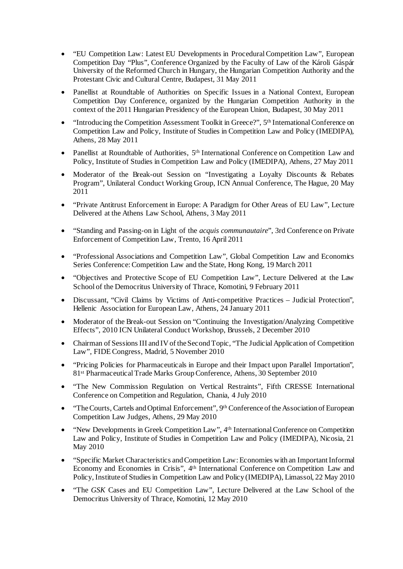- "EU Competition Law: Latest EU Developments in Procedural Competition Law", European Competition Day "Plus", Conference Organized by the Faculty of Law of the Károli Gáspár University of the Reformed Church in Hungary, the Hungarian Competition Authority and the Protestant Civic and Cultural Centre, Budapest, 31 May 2011
- Panellist at Roundtable of Authorities on Specific Issues in a National Context, European Competition Day Conference, organized by the Hungarian Competition Authority in the context of the 2011 Hungarian Presidency of the European Union, Budapest, 30 May 2011
- "Introducing the Competition Assessment Toolkit in Greece?", 5<sup>th</sup> International Conference on Competition Law and Policy, Institute of Studies in Competition Law and Policy (IMEDIPA), Athens, 28 May 2011
- Panellist at Roundtable of Authorities, 5<sup>th</sup> International Conference on Competition Law and Policy, Institute of Studies in Competition Law and Policy (IMEDIPA), Athens, 27 May 2011
- Moderator of the Break-out Session on "Investigating a Loyalty Discounts & Rebates Program", Unilateral Conduct Working Group, ICN Annual Conference, The Hague, 20 May 2011
- "Private Antitrust Enforcement in Europe: A Paradigm for Other Areas of EU Law", Lecture Delivered at the Athens Law School, Athens, 3 May 2011
- "Standing and Passing-on in Light of the *acquis communautaire*", 3rd Conference on Private Enforcement of Competition Law, Trento, 16 April 2011
- "Professional Associations and Competition Law", Global Competition Law and Economics Series Conference: Competition Law and the State, Hong Kong, 19 March 2011
- "Objectives and Protective Scope of EU Competition Law", Lecture Delivered at the Law School of the Democritus University of Thrace, Komotini, 9 February 2011
- Discussant, "Civil Claims by Victims of Anti-competitive Practices Judicial Protection", Hellenic Association for European Law, Athens, 24 January 2011
- Moderator of the Break-out Session on "Continuing the Investigation/Analyzing Competitive Effects", 2010 ICN Unilateral Conduct Workshop, Brussels, 2 December 2010
- Chairman of Sessions III and IV of the Second Topic, "The Judicial Application of Competition Law", FIDE Congress, Madrid, 5 November 2010
- "Pricing Policies for Pharmaceuticals in Europe and their Impact upon Parallel Importation", 81st Pharmaceutical Trade Marks Group Conference, Athens, 30 September 2010
- "The New Commission Regulation on Vertical Restraints", Fifth CRESSE International Conference on Competition and Regulation, Chania, 4 July 2010
- "The Courts, Cartels and Optimal Enforcement", 9<sup>th</sup> Conference of the Association of European Competition Law Judges, Athens, 29 May 2010
- "New Developments in Greek Competition Law", 4<sup>th</sup> International Conference on Competition Law and Policy, Institute of Studies in Competition Law and Policy (IMEDIPA), Nicosia, 21 May 2010
- "Specific Market Characteristics and Competition Law: Economies with an Important Informal Economy and Economies in Crisis", 4th International Conference on Competition Law and Policy, Institute of Studies in Competition Law and Policy (IMEDIPA), Limassol, 22 May 2010
- "The *GSK* Cases and EU Competition Law", Lecture Delivered at the Law School of the Democritus University of Thrace, Komotini, 12 May 2010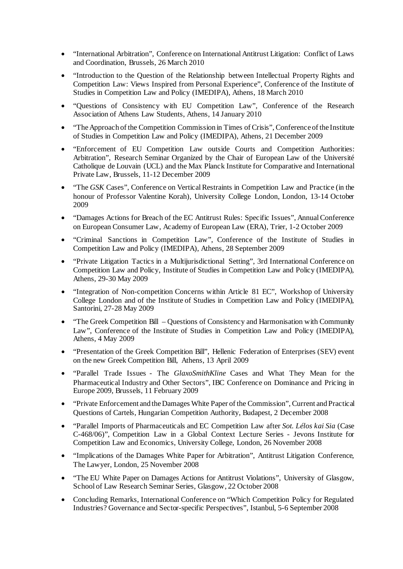- "International Arbitration", Conference on International Antitrust Litigation: Conflict of Laws and Coordination, Brussels, 26 March 2010
- "Introduction to the Question of the Relationship between Intellectual Property Rights and Competition Law: Views Inspired from Personal Experience", Conference of the Institute of Studies in Competition Law and Policy (IMEDIPA), Athens, 18 March 2010
- "Questions of Consistency with EU Competition Law", Conference of the Research Association of Athens Law Students, Athens, 14 January 2010
- "The Approach of the Competition Commission in Times of Crisis", Conference of the Institute of Studies in Competition Law and Policy (IMEDIPA), Athens, 21 December 2009
- "Enforcement of EU Competition Law outside Courts and Competition Authorities: Arbitration", Research Seminar Organized by the Chair of European Law of the Université Catholique de Louvain (UCL) and the Max Planck Institute for Comparative and International Private Law, Brussels, 11-12 December 2009
- "The *GSK* Cases", Conference on Vertical Restraints in Competition Law and Practice (in the honour of Professor Valentine Korah), University College London, London, 13-14 October 2009
- "Damages Actions for Breach of the EC Antitrust Rules: Specific Issues", Annual Conference on European Consumer Law, Academy of European Law (ERA), Trier, 1-2 October 2009
- "Criminal Sanctions in Competition Law", Conference of the Institute of Studies in Competition Law and Policy (IMEDIPA), Athens, 28 September 2009
- "Private Litigation Tactics in a Multijurisdictional Setting", 3rd International Conference on Competition Law and Policy, Institute of Studies in Competition Law and Policy (IMEDIPA), Athens, 29-30 May 2009
- "Integration of Non-competition Concerns within Article 81 EC", Workshop of University College London and of the Institute of Studies in Competition Law and Policy (IMEDIPA), Santorini, 27-28 May 2009
- "The Greek Competition Bill Questions of Consistency and Harmonisation with Community Law", Conference of the Institute of Studies in Competition Law and Policy (IMEDIPA), Athens, 4 May 2009
- "Presentation of the Greek Competition Bill", Hellenic Federation of Enterprises (SEV) event on the new Greek Competition Bill, Athens, 13 April 2009
- "Parallel Trade Issues The *GlaxoSmithKline* Cases and What They Mean for the Pharmaceutical Industry and Other Sectors", IBC Conference on Dominance and Pricing in Europe 2009, Brussels, 11 February 2009
- "Private Enforcement and the Damages White Paper of the Commission", Current and Practical Questions of Cartels, Hungarian Competition Authority, Budapest, 2 December 2008
- "Parallel Imports of Pharmaceuticals and EC Competition Law after *Sot. Lélos kai Sia* (Case C-468/06)", Competition Law in a Global Context Lecture Series - Jevons Institute for Competition Law and Economics, University College, London, 26 November 2008
- "Implications of the Damages White Paper for Arbitration", Antitrust Litigation Conference, The Lawyer, London, 25 November 2008
- "The EU White Paper on Damages Actions for Antitrust Violations", University of Glasgow, School of Law Research Seminar Series, Glasgow, 22 October 2008
- Concluding Remarks, International Conference on "Which Competition Policy for Regulated Industries? Governance and Sector-specific Perspectives", Istanbul, 5-6 September 2008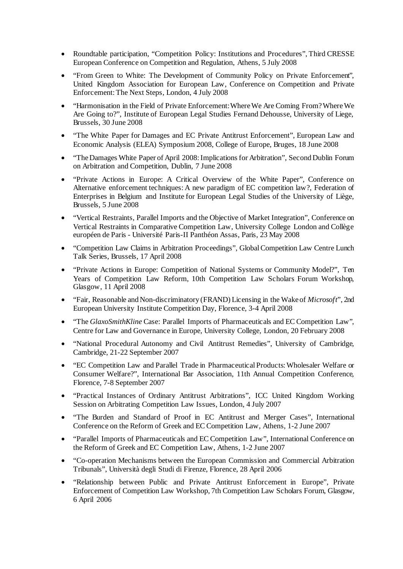- Roundtable participation, "Competition Policy: Institutions and Procedures", Third CRESSE European Conference on Competition and Regulation, Athens, 5 July 2008
- "From Green to White: The Development of Community Policy on Private Enforcement", United Kingdom Association for European Law, Conference on Competition and Private Enforcement: The Next Steps, London, 4 July 2008
- "Harmonisation in the Field of Private Enforcement: Where We Are Coming From? Where We Are Going to?", Institute of European Legal Studies Fernand Dehousse, University of Liege, Brussels, 30 June 2008
- "The White Paper for Damages and EC Private Antitrust Enforcement", European Law and Economic Analysis (ELEA) Symposium 2008, College of Europe, Bruges, 18 June 2008
- "The Damages White Paper of April 2008: Implications for Arbitration", Second Dublin Forum on Arbitration and Competition, Dublin, 7 June 2008
- "Private Actions in Europe: A Critical Overview of the White Paper", Conference on Alternative enforcement techniques: A new paradigm of EC competition law?, Federation of Enterprises in Belgium and Institute for European Legal Studies of the University of Liège, Brussels, 5 June 2008
- "Vertical Restraints, Parallel Imports and the Objective of Market Integration", Conference on Vertical Restraints in Comparative Competition Law, University College London and Collège européen de Paris - Université Paris-II Panthéon Assas, Paris, 23 May 2008
- "Competition Law Claims in Arbitration Proceedings", Global Competition Law Centre Lunch Talk Series, Brussels, 17 April 2008
- "Private Actions in Europe: Competition of National Systems or Community Model?", Ten Years of Competition Law Reform, 10th Competition Law Scholars Forum Workshop, Glasgow, 11 April 2008
- "Fair, Reasonable and Non-discriminatory (FRAND) Licensing in the Wake of *Microsoft*", 2nd European University Institute Competition Day, Florence, 3-4 April 2008
- "The *GlaxoSmithKline* Case: Parallel Imports of Pharmaceuticals and EC Competition Law", Centre for Law and Governance in Europe, University College, London, 20 February 2008
- "National Procedural Autonomy and Civil Antitrust Remedies", University of Cambridge, Cambridge, 21-22 September 2007
- "EC Competition Law and Parallel Trade in Pharmaceutical Products: Wholesaler Welfare or Consumer Welfare?", International Bar Association, 11th Annual Competition Conference, Florence, 7-8 September 2007
- "Practical Instances of Ordinary Antitrust Arbitrations", ICC United Kingdom Working Session on Arbitrating Competition Law Issues, London, 4 July 2007
- "The Burden and Standard of Proof in EC Antitrust and Merger Cases", International Conference on the Reform of Greek and EC Competition Law, Athens, 1-2 June 2007
- "Parallel Imports of Pharmaceuticals and EC Competition Law", International Conference on the Reform of Greek and EC Competition Law, Athens, 1-2 June 2007
- "Co-operation Mechanisms between the European Commission and Commercial Arbitration Tribunals", Università degli Studi di Firenze, Florence, 28 April 2006
- "Relationship between Public and Private Antitrust Enforcement in Europe", Private Enforcement of Competition Law Workshop, 7th Competition Law Scholars Forum, Glasgow, 6 April 2006